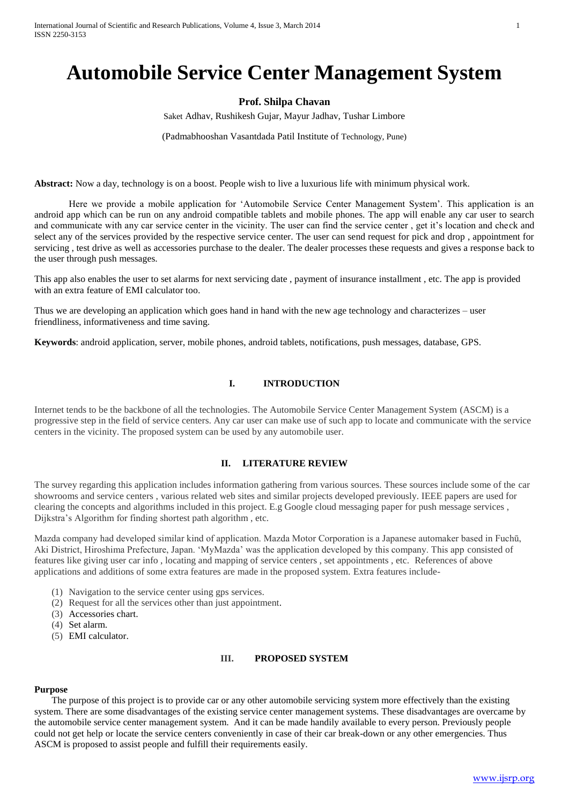# **Automobile Service Center Management System**

## **Prof. Shilpa Chavan**

Saket Adhav, Rushikesh Gujar, Mayur Jadhav, Tushar Limbore

(Padmabhooshan Vasantdada Patil Institute of Technology, Pune)

**Abstract:** Now a day, technology is on a boost. People wish to live a luxurious life with minimum physical work.

Here we provide a mobile application for 'Automobile Service Center Management System'. This application is an android app which can be run on any android compatible tablets and mobile phones. The app will enable any car user to search and communicate with any car service center in the vicinity. The user can find the service center , get it's location and check and select any of the services provided by the respective service center. The user can send request for pick and drop , appointment for servicing , test drive as well as accessories purchase to the dealer. The dealer processes these requests and gives a response back to the user through push messages.

This app also enables the user to set alarms for next servicing date , payment of insurance installment , etc. The app is provided with an extra feature of EMI calculator too.

Thus we are developing an application which goes hand in hand with the new age technology and characterizes – user friendliness, informativeness and time saving.

**Keywords**: android application, server, mobile phones, android tablets, notifications, push messages, database, GPS.

## **I. INTRODUCTION**

Internet tends to be the backbone of all the technologies. The Automobile Service Center Management System (ASCM) is a progressive step in the field of service centers. Any car user can make use of such app to locate and communicate with the service centers in the vicinity. The proposed system can be used by any automobile user.

## **II. LITERATURE REVIEW**

The survey regarding this application includes information gathering from various sources. These sources include some of the car showrooms and service centers , various related web sites and similar projects developed previously. IEEE papers are used for clearing the concepts and algorithms included in this project. E.g Google cloud messaging paper for push message services , Dijkstra's Algorithm for finding shortest path algorithm , etc.

Mazda company had developed similar kind of application. Mazda Motor Corporation is a Japanese automaker based in Fuchū, Aki District, Hiroshima Prefecture, Japan. 'MyMazda' was the application developed by this company. This app consisted of features like giving user car info , locating and mapping of service centers , set appointments , etc. References of above applications and additions of some extra features are made in the proposed system. Extra features include-

- (1) Navigation to the service center using gps services.
- (2) Request for all the services other than just appointment.
- (3) Accessories chart.
- (4) Set alarm.
- (5) EMI calculator.

## **III. PROPOSED SYSTEM**

#### **Purpose**

The purpose of this project is to provide car or any other automobile servicing system more effectively than the existing system. There are some disadvantages of the existing service center management systems. These disadvantages are overcame by the automobile service center management system. And it can be made handily available to every person. Previously people could not get help or locate the service centers conveniently in case of their car break-down or any other emergencies. Thus ASCM is proposed to assist people and fulfill their requirements easily.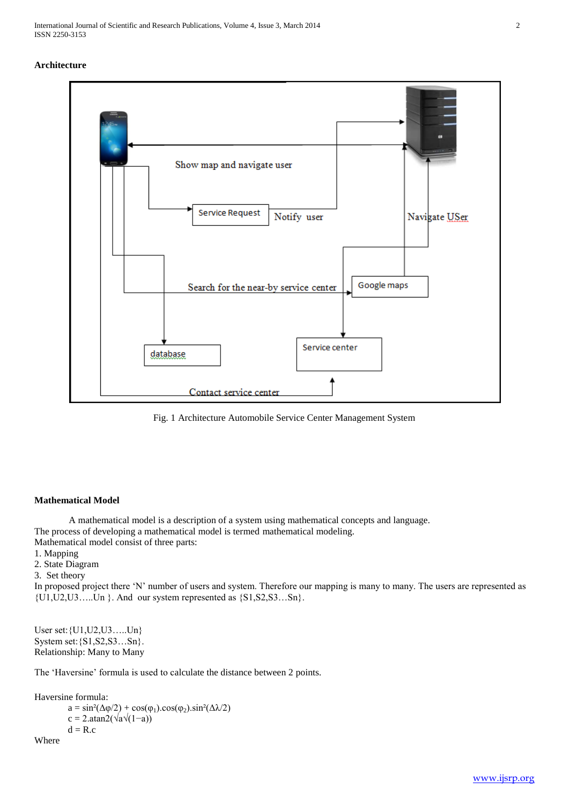### **Architecture**



Fig. 1 Architecture Automobile Service Center Management System

## **Mathematical Model**

A mathematical model is a description of a system using mathematical concepts and language. The process of developing a mathematical model is termed mathematical modeling. Mathematical model consist of three parts:

- 1. Mapping
- 2. State Diagram
- 3. Set theory

In proposed project there 'N' number of users and system. Therefore our mapping is many to many. The users are represented as  $\{U1, U2, U3, \ldots, Un\}$ . And our system represented as  $\{S1, S2, S3, \ldots, Sn\}$ .

User set:{U1,U2,U3…..Un} System set:{S1,S2,S3…Sn}. Relationship: Many to Many

The 'Haversine' formula is used to calculate the distance between 2 points.

Haversine formula:

 $a = sin^2(\Delta \varphi/2) + cos(\varphi_1) . cos(\varphi_2) . sin^2(\Delta \lambda/2)$  $c = 2 \cdot \text{atan2}(\sqrt{a}\sqrt{1-a}))$  $d = R.c$ Where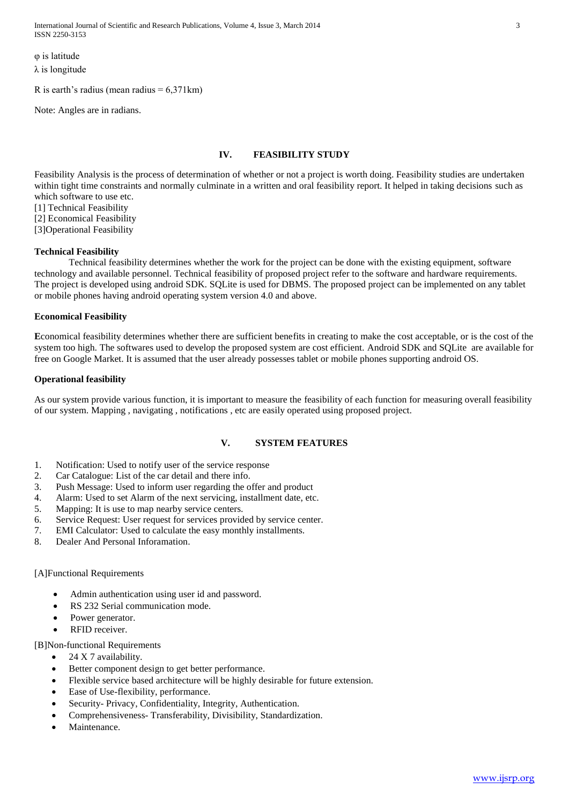International Journal of Scientific and Research Publications, Volume 4, Issue 3, March 2014 3 ISSN 2250-3153

φ is latitude λ is longitude

R is earth's radius (mean radius  $= 6,371 \text{ km}$ )

Note: Angles are in radians.

# **IV. FEASIBILITY STUDY**

Feasibility Analysis is the process of determination of whether or not a project is worth doing. Feasibility studies are undertaken within tight time constraints and normally culminate in a written and oral feasibility report. It helped in taking decisions such as which software to use etc.

[1] Technical Feasibility

[2] Economical Feasibility

[3]Operational Feasibility

## **Technical Feasibility**

Technical feasibility determines whether the work for the project can be done with the existing equipment, software technology and available personnel. Technical feasibility of proposed project refer to the software and hardware requirements. The project is developed using android SDK. SQLite is used for DBMS. The proposed project can be implemented on any tablet or mobile phones having android operating system version 4.0 and above.

### **Economical Feasibility**

**E**conomical feasibility determines whether there are sufficient benefits in creating to make the cost acceptable, or is the cost of the system too high. The softwares used to develop the proposed system are cost efficient. Android SDK and SQLite are available for free on Google Market. It is assumed that the user already possesses tablet or mobile phones supporting android OS.

### **Operational feasibility**

As our system provide various function, it is important to measure the feasibility of each function for measuring overall feasibility of our system. Mapping , navigating , notifications , etc are easily operated using proposed project.

## **V. SYSTEM FEATURES**

- 1. Notification: Used to notify user of the service response
- 2. Car Catalogue: List of the car detail and there info.
- 3. Push Message: Used to inform user regarding the offer and product
- 4. Alarm: Used to set Alarm of the next servicing, installment date, etc.
- 5. Mapping: It is use to map nearby service centers.
- 6. Service Request: User request for services provided by service center.
- 7. EMI Calculator: Used to calculate the easy monthly installments.
- 8. Dealer And Personal Inforamation.

### [A]Functional Requirements

- Admin authentication using user id and password.
- RS 232 Serial communication mode.
- Power generator.
- RFID receiver.

## [B]Non-functional Requirements

- 24 X 7 availability.
- Better component design to get better performance.
- Flexible service based architecture will be highly desirable for future extension.
- Ease of Use-flexibility, performance.
- Security- Privacy, Confidentiality, Integrity, Authentication.
- Comprehensiveness- Transferability, Divisibility, Standardization.
- Maintenance.